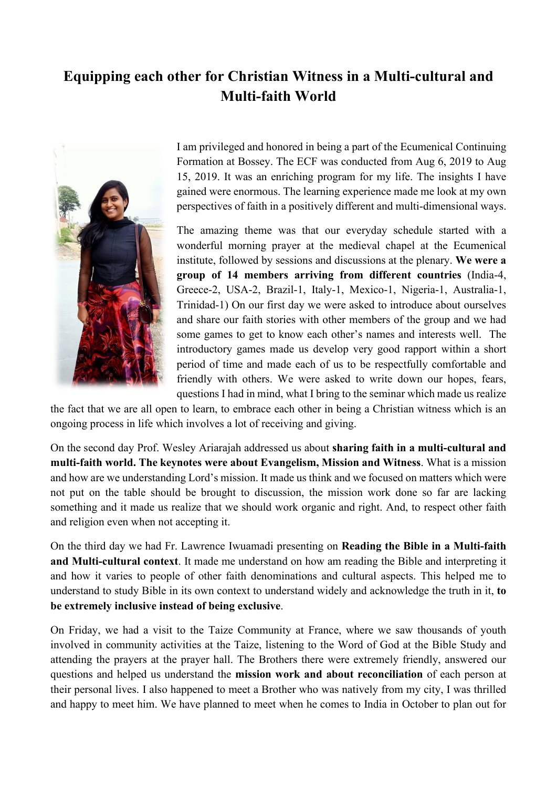## **Equipping each other for Christian Witness in a Multi-cultural and Multi-faith World**



I am privileged and honored in being a part of the Ecumenical Continuing Formation at Bossey. The ECF was conducted from Aug 6, 2019 to Aug 15, 2019. It was an enriching program for my life. The insights I have gained were enormous. The learning experience made me look at my own perspectives of faith in a positively different and multi-dimensional ways.

The amazing theme was that our everyday schedule started with a wonderful morning prayer at the medieval chapel at the Ecumenical institute, followed by sessions and discussions at the plenary. **We were a group of 14 members arriving from different countries** (India-4, Greece-2, USA-2, Brazil-1, Italy-1, Mexico-1, Nigeria-1, Australia-1, Trinidad-1) On our first day we were asked to introduce about ourselves and share our faith stories with other members of the group and we had some games to get to know each other's names and interests well. The introductory games made us develop very good rapport within a short period of time and made each of us to be respectfully comfortable and friendly with others. We were asked to write down our hopes, fears, questions I had in mind, what I bring to the seminar which made us realize

the fact that we are all open to learn, to embrace each other in being a Christian witness which is an ongoing process in life which involves a lot of receiving and giving.

On the second day Prof. Wesley Ariarajah addressed us about **sharing faith in a multi-cultural and multi-faith world. The keynotes were about Evangelism, Mission and Witness**. What is a mission and how are we understanding Lord's mission. It made us think and we focused on matters which were not put on the table should be brought to discussion, the mission work done so far are lacking something and it made us realize that we should work organic and right. And, to respect other faith and religion even when not accepting it.

On the third day we had Fr. Lawrence Iwuamadi presenting on **Reading the Bible in a Multi-faith and Multi-cultural context**. It made me understand on how am reading the Bible and interpreting it and how it varies to people of other faith denominations and cultural aspects. This helped me to understand to study Bible in its own context to understand widely and acknowledge the truth in it, **to be extremely inclusive instead of being exclusive**.

On Friday, we had a visit to the Taize Community at France, where we saw thousands of youth involved in community activities at the Taize, listening to the Word of God at the Bible Study and attending the prayers at the prayer hall. The Brothers there were extremely friendly, answered our questions and helped us understand the **mission work and about reconciliation** of each person at their personal lives. I also happened to meet a Brother who was natively from my city, I was thrilled and happy to meet him. We have planned to meet when he comes to India in October to plan out for